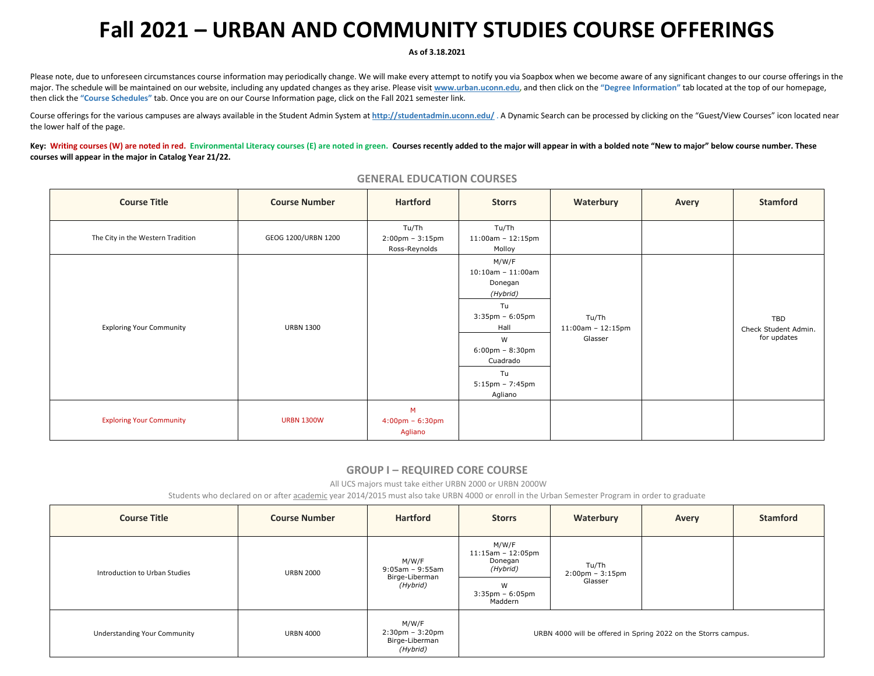# **Fall 2021 – URBAN AND COMMUNITY STUDIES COURSE OFFERINGS**

#### **As of 3.18.2021**

Please note, due to unforeseen circumstances course information may periodically change. We will make every attempt to notify you via Soapbox when we become aware of any significant changes to our course offerings in the major. The schedule will be maintained on our website, including any updated changes as they arise. Please visit [www.urban.uconn.edu,](http://www.urban.uconn.edu/) and then click on the "Degree Information" tab located at the top of our homepage, then click the **"Course Schedules"** tab. Once you are on our Course Information page, click on the Fall 2021 semester link.

Course offerings for the various campuses are always available in the Student Admin System at <http://studentadmin.uconn.edu/>. A Dynamic Search can be processed by clicking on the "Guest/View Courses" icon located near the lower half of the page.

Key: Writing courses (W) are noted in red. Environmental Literacy courses (E) are noted in green. Courses recently added to the major will appear in with a bolded note "New to major" below course number. These **courses will appear in the major in Catalog Year 21/22.** 

| <b>Course Title</b>               | <b>Course Number</b> | <b>Hartford</b>                                             | <b>Storrs</b>                                                                                                                                                                               | Waterbury                                   | Avery | <b>Stamford</b>                            |
|-----------------------------------|----------------------|-------------------------------------------------------------|---------------------------------------------------------------------------------------------------------------------------------------------------------------------------------------------|---------------------------------------------|-------|--------------------------------------------|
| The City in the Western Tradition | GEOG 1200/URBN 1200  | Tu/Th<br>$2:00 \text{pm} - 3:15 \text{pm}$<br>Ross-Reynolds | Tu/Th<br>$11:00$ am - $12:15$ pm<br>Molloy                                                                                                                                                  |                                             |       |                                            |
| <b>Exploring Your Community</b>   | <b>URBN 1300</b>     |                                                             | M/W/F<br>$10:10$ am - $11:00$ am<br>Donegan<br>(Hybrid)<br>Tu<br>$3:35$ pm - $6:05$ pm<br>Hall<br>W<br>$6:00 \text{pm} - 8:30 \text{pm}$<br>Cuadrado<br>Tu<br>$5:15$ pm – 7:45pm<br>Agliano | Tu/Th<br>$11:00$ am - $12:15$ pm<br>Glasser |       | TBD<br>Check Student Admin.<br>for updates |
| <b>Exploring Your Community</b>   | <b>URBN 1300W</b>    | M<br>$4:00 \text{pm} - 6:30 \text{pm}$<br>Agliano           |                                                                                                                                                                                             |                                             |       |                                            |

#### **GENERAL EDUCATION COURSES**

#### **GROUP I – REQUIRED CORE COURSE**

All UCS majors must take either URBN 2000 or URBN 2000W

Students who declared on or after academic year 2014/2015 must also take URBN 4000 or enroll in the Urban Semester Program in order to graduate

| <b>Course Title</b>                 | <b>Course Number</b> | <b>Hartford</b>                                              | <b>Storrs</b>                                                                  | Waterbury                                             | Avery | <b>Stamford</b> |
|-------------------------------------|----------------------|--------------------------------------------------------------|--------------------------------------------------------------------------------|-------------------------------------------------------|-------|-----------------|
| Introduction to Urban Studies       | <b>URBN 2000</b>     | M/W/F<br>9:05am - 9:55am<br>Birge-Liberman<br>(Hybrid)       | M/W/F<br>$11:15am - 12:05pm$<br>Donegan<br>(Hybrid)<br>W<br>$3:35$ pm – 6:05pm | Tu/Th<br>$2:00 \text{pm} - 3:15 \text{pm}$<br>Glasser |       |                 |
|                                     |                      |                                                              | Maddern                                                                        |                                                       |       |                 |
| <b>Understanding Your Community</b> | <b>URBN 4000</b>     | M/W/F<br>$2:30$ pm - $3:20$ pm<br>Birge-Liberman<br>(Hybrid) | URBN 4000 will be offered in Spring 2022 on the Storrs campus.                 |                                                       |       |                 |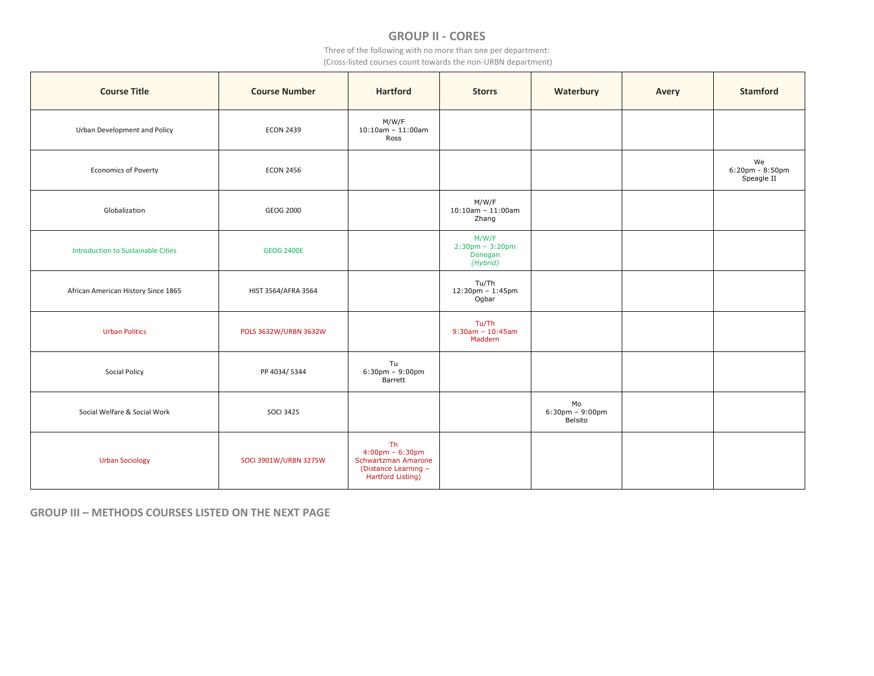# **GROUP II - CORES**

Three of the following with no more than one per department:

(Cross-listed courses count towards the non-URBN department)

| <b>Course Title</b>                       | <b>Course Number</b>  | <b>Hartford</b>                                                                                             | <b>Storrs</b>                                                     | Waterbury                              | Avery | <b>Stamford</b>                     |
|-------------------------------------------|-----------------------|-------------------------------------------------------------------------------------------------------------|-------------------------------------------------------------------|----------------------------------------|-------|-------------------------------------|
| Urban Development and Policy              | <b>ECON 2439</b>      | M/W/F<br>$10:10$ am - $11:00$ am<br>Ross                                                                    |                                                                   |                                        |       |                                     |
| <b>Economics of Poverty</b>               | <b>ECON 2456</b>      |                                                                                                             |                                                                   |                                        |       | We<br>6:20pm - 8:50pm<br>Speagle II |
| Globalization                             | <b>GEOG 2000</b>      |                                                                                                             | M/W/F<br>$10:10$ am - 11:00am<br>Zhang                            |                                        |       |                                     |
| <b>Introduction to Sustainable Cities</b> | <b>GEOG 2400E</b>     |                                                                                                             | M/W/F<br>$2:30 \text{pm} - 3:20 \text{pm}$<br>Donegan<br>(Hybrid) |                                        |       |                                     |
| African American History Since 1865       | HIST 3564/AFRA 3564   |                                                                                                             | Tu/Th<br>12:30pm - 1:45pm<br>Ogbar                                |                                        |       |                                     |
| <b>Urban Politics</b>                     | POLS 3632W/URBN 3632W |                                                                                                             | Tu/Th<br>$9:30$ am - 10:45am<br>Maddern                           |                                        |       |                                     |
| <b>Social Policy</b>                      | PP 4034/5344          | Tu<br>$6:30 \text{pm} - 9:00 \text{pm}$<br>Barrett                                                          |                                                                   |                                        |       |                                     |
| Social Welfare & Social Work              | <b>SOCI 3425</b>      |                                                                                                             |                                                                   | Mo<br>$6:30$ pm - $9:00$ pm<br>Belsito |       |                                     |
| <b>Urban Sociology</b>                    | SOCI 3901W/URBN 3275W | Th<br>$4:00 \text{pm} - 6:30 \text{pm}$<br>Schwartzman Amarone<br>(Distance Learning -<br>Hartford Listing) |                                                                   |                                        |       |                                     |

**GROUP III – METHODS COURSES LISTED ON THE NEXT PAGE**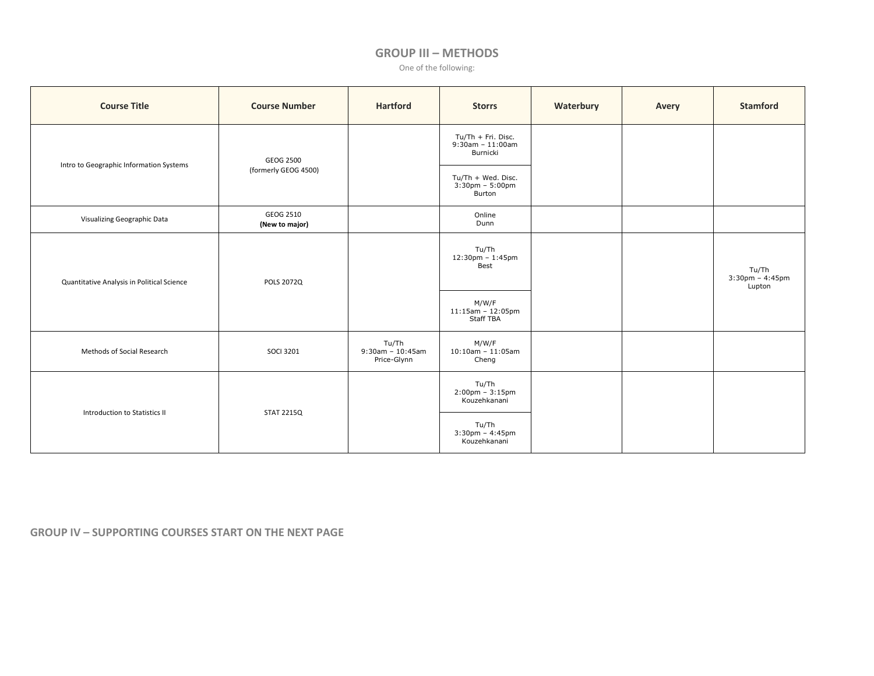## **GROUP III – METHODS**

One of the following:

| <b>Course Title</b>                        | <b>Course Number</b>        | <b>Hartford</b>                             | <b>Storrs</b>                                                     | Waterbury | Avery | <b>Stamford</b>                       |
|--------------------------------------------|-----------------------------|---------------------------------------------|-------------------------------------------------------------------|-----------|-------|---------------------------------------|
|                                            | GEOG 2500                   |                                             | Tu/Th + Fri. Disc.<br>$9:30$ am - 11:00am<br>Burnicki             |           |       |                                       |
| Intro to Geographic Information Systems    | (formerly GEOG 4500)        |                                             | Tu/Th + Wed. Disc.<br>$3:30 \text{pm} - 5:00 \text{pm}$<br>Burton |           |       |                                       |
| Visualizing Geographic Data                | GEOG 2510<br>(New to major) |                                             | Online<br>Dunn                                                    |           |       |                                       |
| Quantitative Analysis in Political Science | POLS 2072Q                  |                                             | Tu/Th<br>$12:30$ pm - $1:45$ pm<br>Best                           |           |       | Tu/Th<br>$3:30$ pm - 4:45pm<br>Lupton |
|                                            |                             |                                             | M/W/F<br>$11:15$ am - $12:05$ pm<br>Staff TBA                     |           |       |                                       |
| Methods of Social Research                 | <b>SOCI 3201</b>            | Tu/Th<br>$9:30$ am - 10:45am<br>Price-Glynn | M/W/F<br>$10:10$ am - $11:05$ am<br>Cheng                         |           |       |                                       |
| Introduction to Statistics II              | <b>STAT 2215Q</b>           |                                             | Tu/Th<br>$2:00 \text{pm} - 3:15 \text{pm}$<br>Kouzehkanani        |           |       |                                       |
|                                            |                             |                                             | Tu/Th<br>3:30pm - 4:45pm<br>Kouzehkanani                          |           |       |                                       |

**GROUP IV – SUPPORTING COURSES START ON THE NEXT PAGE**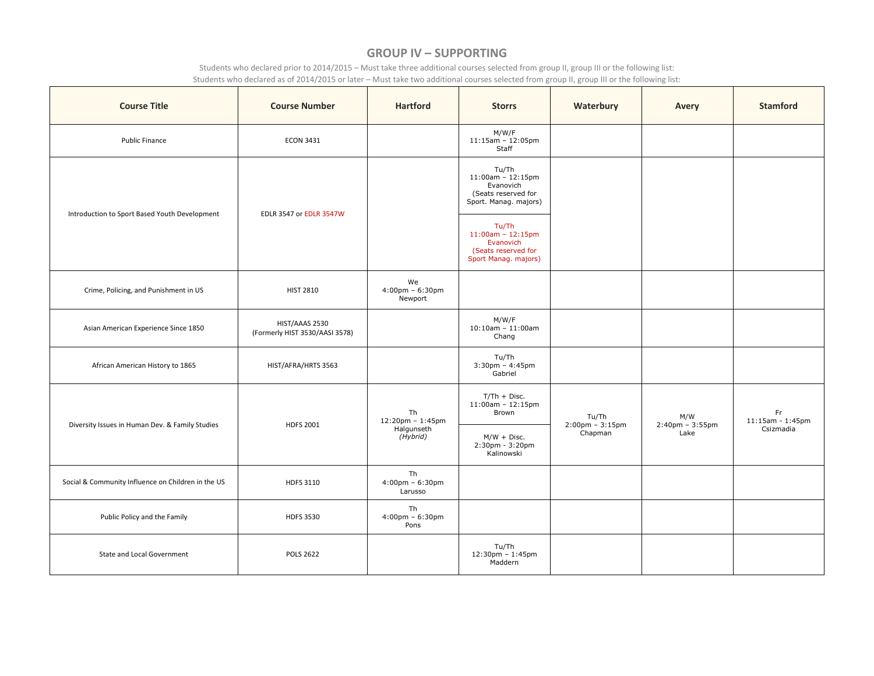## **GROUP IV – SUPPORTING**

Students who declared prior to 2014/2015 – Must take three additional courses selected from group II, group III or the following list: Students who declared as of 2014/2015 or later – Must take two additional courses selected from group II, group III or the following list:

| <b>Course Title</b>                                | <b>Course Number</b>                             | <b>Hartford</b>                                    | <b>Storrs</b>                                                                                 | Waterbury                                    | Avery                                            | <b>Stamford</b>        |
|----------------------------------------------------|--------------------------------------------------|----------------------------------------------------|-----------------------------------------------------------------------------------------------|----------------------------------------------|--------------------------------------------------|------------------------|
| Public Finance                                     | <b>ECON 3431</b>                                 |                                                    | M/W/F<br>$11:15am - 12:05pm$<br>Staff                                                         |                                              |                                                  |                        |
| Introduction to Sport Based Youth Development      | <b>EDLR 3547 or EDLR 3547W</b>                   |                                                    | Tu/Th<br>$11:00$ am - $12:15$ pm<br>Evanovich<br>(Seats reserved for<br>Sport. Manag. majors) |                                              |                                                  |                        |
|                                                    |                                                  |                                                    | Tu/Th<br>$11:00am - 12:15pm$<br>Evanovich<br>(Seats reserved for<br>Sport Manag. majors)      |                                              |                                                  |                        |
| Crime, Policing, and Punishment in US              | <b>HIST 2810</b>                                 | We<br>$4:00 \text{pm} - 6:30 \text{pm}$<br>Newport |                                                                                               |                                              |                                                  |                        |
| Asian American Experience Since 1850               | HIST/AAAS 2530<br>(Formerly HIST 3530/AASI 3578) |                                                    | M/W/F<br>$10:10$ am - 11:00am<br>Chang                                                        |                                              |                                                  |                        |
| African American History to 1865                   | HIST/AFRA/HRTS 3563                              |                                                    | Tu/Th<br>$3:30$ pm - 4:45pm<br>Gabriel                                                        |                                              |                                                  |                        |
|                                                    |                                                  | Th<br>$12:20$ pm - $1:45$ pm                       | $T/Th + Disc.$<br>$11:00am - 12:15pm$<br>Brown                                                | Tu/Th                                        | M/W<br>$2:40 \text{pm} - 3:55 \text{pm}$<br>Lake | Fr<br>11:15am - 1:45pm |
| Diversity Issues in Human Dev. & Family Studies    | <b>HDFS 2001</b>                                 | Halgunseth<br>(Hybrid)                             | $M/W + Disc.$<br>2:30pm - 3:20pm<br>Kalinowski                                                | $2:00 \text{pm} - 3:15 \text{pm}$<br>Chapman |                                                  | Csizmadia              |
| Social & Community Influence on Children in the US | HDFS 3110                                        | Th<br>$4:00 \text{pm} - 6:30 \text{pm}$<br>Larusso |                                                                                               |                                              |                                                  |                        |
| Public Policy and the Family                       | <b>HDFS 3530</b>                                 | Th<br>$4:00 \text{pm} - 6:30 \text{pm}$<br>Pons    |                                                                                               |                                              |                                                  |                        |
| State and Local Government                         | <b>POLS 2622</b>                                 |                                                    | Tu/Th<br>$12:30$ pm - $1:45$ pm<br>Maddern                                                    |                                              |                                                  |                        |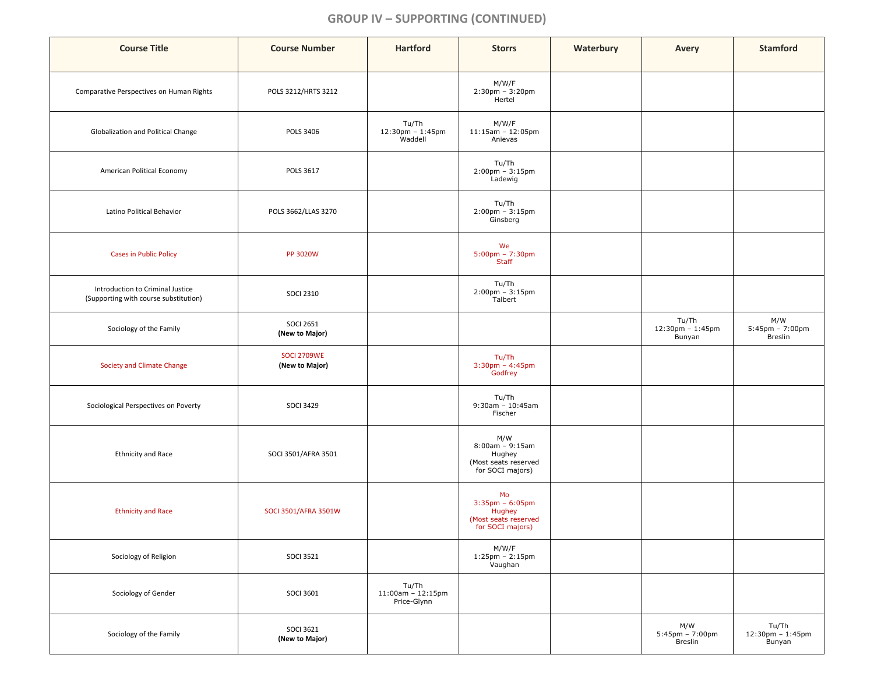# **GROUP IV – SUPPORTING (CONTINUED)**

| <b>Course Title</b>                                                       | <b>Course Number</b>                 | <b>Hartford</b>                                               | <b>Storrs</b>                                                                     | Waterbury | Avery                                                 | <b>Stamford</b>                                            |
|---------------------------------------------------------------------------|--------------------------------------|---------------------------------------------------------------|-----------------------------------------------------------------------------------|-----------|-------------------------------------------------------|------------------------------------------------------------|
| Comparative Perspectives on Human Rights                                  | POLS 3212/HRTS 3212                  |                                                               | M/W/F<br>$2:30 \text{pm} - 3:20 \text{pm}$<br>Hertel                              |           |                                                       |                                                            |
| Globalization and Political Change                                        | <b>POLS 3406</b>                     | Tu/Th<br>$12:30 \text{pm} - 1:45 \text{pm}$<br><b>Waddell</b> | M/W/F<br>$11:15am - 12:05pm$<br>Anievas                                           |           |                                                       |                                                            |
| American Political Economy                                                | <b>POLS 3617</b>                     |                                                               | Tu/Th<br>$2:00$ pm - $3:15$ pm<br>Ladewig                                         |           |                                                       |                                                            |
| Latino Political Behavior                                                 | POLS 3662/LLAS 3270                  |                                                               | Tu/Th<br>$2:00$ pm - $3:15$ pm<br>Ginsberg                                        |           |                                                       |                                                            |
| <b>Cases in Public Policy</b>                                             | <b>PP 3020W</b>                      |                                                               | We<br>$5:00 \text{pm} - 7:30 \text{pm}$<br><b>Staff</b>                           |           |                                                       |                                                            |
| Introduction to Criminal Justice<br>(Supporting with course substitution) | <b>SOCI 2310</b>                     |                                                               | Tu/Th<br>$2:00 \text{pm} - 3:15 \text{pm}$<br>Talbert                             |           |                                                       |                                                            |
| Sociology of the Family                                                   | <b>SOCI 2651</b><br>(New to Major)   |                                                               |                                                                                   |           | Tu/Th<br>$12:30 \text{pm} - 1:45 \text{pm}$<br>Bunyan | M/W<br>$5:45 \text{pm} - 7:00 \text{pm}$<br><b>Breslin</b> |
| Society and Climate Change                                                | <b>SOCI 2709WE</b><br>(New to Major) |                                                               | Tu/Th<br>$3:30 \text{pm} - 4:45 \text{pm}$<br>Godfrey                             |           |                                                       |                                                            |
| Sociological Perspectives on Poverty                                      | <b>SOCI 3429</b>                     |                                                               | Tu/Th<br>$9:30$ am - 10:45am<br>Fischer                                           |           |                                                       |                                                            |
| <b>Ethnicity and Race</b>                                                 | SOCI 3501/AFRA 3501                  |                                                               | M/W<br>$8:00am - 9:15am$<br>Hughey<br>(Most seats reserved<br>for SOCI majors)    |           |                                                       |                                                            |
| <b>Ethnicity and Race</b>                                                 | SOCI 3501/AFRA 3501W                 |                                                               | Mo<br>$3:35$ pm - $6:05$ pm<br>Hughey<br>(Most seats reserved<br>for SOCI majors) |           |                                                       |                                                            |
| Sociology of Religion                                                     | <b>SOCI 3521</b>                     |                                                               | M/W/F<br>$1:25 \text{pm} - 2:15 \text{pm}$<br>Vaughan                             |           |                                                       |                                                            |
| Sociology of Gender                                                       | <b>SOCI 3601</b>                     | Tu/Th<br>$11:00$ am - 12:15pm<br>Price-Glynn                  |                                                                                   |           |                                                       |                                                            |
| Sociology of the Family                                                   | <b>SOCI 3621</b><br>(New to Major)   |                                                               |                                                                                   |           | M/W<br>$5:45$ pm - 7:00pm<br>Breslin                  | Tu/Th<br>12:30pm - 1:45pm<br>Bunyan                        |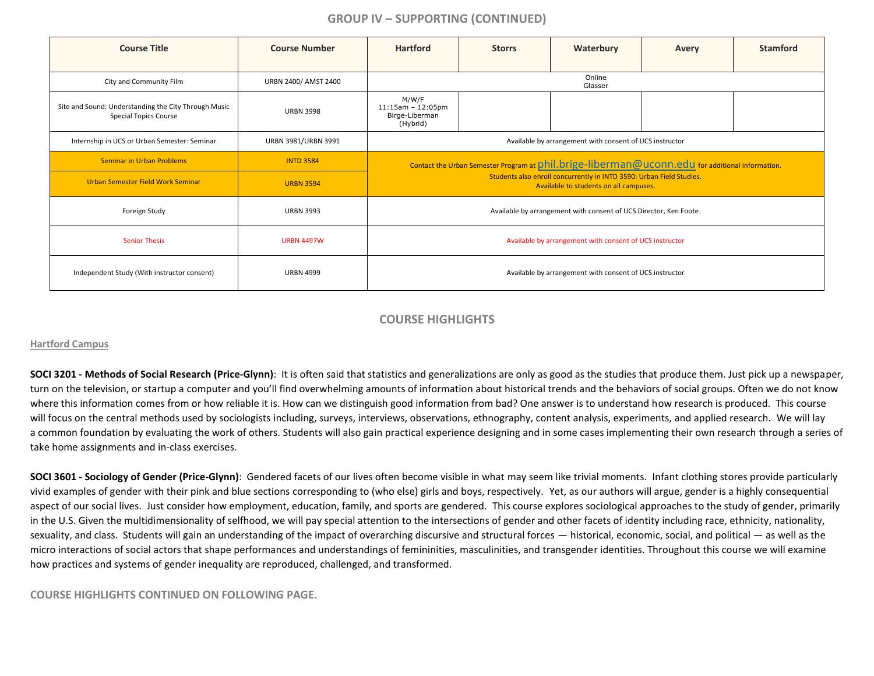# **GROUP IV – SUPPORTING (CONTINUED)**

| <b>Course Title</b>                                                                  | <b>Course Number</b> | <b>Hartford</b>                                                                                 | <b>Storrs</b> | Waterbury                                                                                                      | Avery | <b>Stamford</b> |  |
|--------------------------------------------------------------------------------------|----------------------|-------------------------------------------------------------------------------------------------|---------------|----------------------------------------------------------------------------------------------------------------|-------|-----------------|--|
| City and Community Film                                                              | URBN 2400/ AMST 2400 |                                                                                                 |               | Online<br>Glasser                                                                                              |       |                 |  |
| Site and Sound: Understanding the City Through Music<br><b>Special Topics Course</b> | <b>URBN 3998</b>     | M/W/F<br>$11:15am - 12:05pm$<br>Birge-Liberman<br>(Hybrid)                                      |               |                                                                                                                |       |                 |  |
| Internship in UCS or Urban Semester: Seminar                                         | URBN 3981/URBN 3991  | Available by arrangement with consent of UCS instructor                                         |               |                                                                                                                |       |                 |  |
| <b>Seminar in Urban Problems</b>                                                     | <b>INTD 3584</b>     | Contact the Urban Semester Program at phil.brige-liberman@uconn.edu for additional information. |               |                                                                                                                |       |                 |  |
| Urban Semester Field Work Seminar                                                    | <b>URBN 3594</b>     |                                                                                                 |               | Students also enroll concurrently in INTD 3590: Urban Field Studies.<br>Available to students on all campuses. |       |                 |  |
| Foreign Study                                                                        | <b>URBN 3993</b>     |                                                                                                 |               | Available by arrangement with consent of UCS Director, Ken Foote.                                              |       |                 |  |
| <b>Senior Thesis</b>                                                                 | <b>URBN 4497W</b>    | Available by arrangement with consent of UCS instructor                                         |               |                                                                                                                |       |                 |  |
| Independent Study (With instructor consent)                                          | <b>URBN 4999</b>     | Available by arrangement with consent of UCS instructor                                         |               |                                                                                                                |       |                 |  |

## **COURSE HIGHLIGHTS**

#### **Hartford Campus**

**SOCI 3201 - Methods of Social Research (Price-Glynn)**: It is often said that statistics and generalizations are only as good as the studies that produce them. Just pick up a newspaper, turn on the television, or startup a computer and you'll find overwhelming amounts of information about historical trends and the behaviors of social groups. Often we do not know where this information comes from or how reliable it is. How can we distinguish good information from bad? One answer is to understand how research is produced. This course will focus on the central methods used by sociologists including, surveys, interviews, observations, ethnography, content analysis, experiments, and applied research. We will lay a common foundation by evaluating the work of others. Students will also gain practical experience designing and in some cases implementing their own research through a series of take home assignments and in-class exercises.

**SOCI 3601 - Sociology of Gender (Price-Glynn)**: Gendered facets of our lives often become visible in what may seem like trivial moments. Infant clothing stores provide particularly vivid examples of gender with their pink and blue sections corresponding to (who else) girls and boys, respectively. Yet, as our authors will argue, gender is a highly consequential aspect of our social lives. Just consider how employment, education, family, and sports are gendered. This course explores sociological approaches to the study of gender, primarily in the U.S. Given the multidimensionality of selfhood, we will pay special attention to the intersections of gender and other facets of identity including race, ethnicity, nationality, sexuality, and class. Students will gain an understanding of the impact of overarching discursive and structural forces — historical, economic, social, and political — as well as the micro interactions of social actors that shape performances and understandings of femininities, masculinities, and transgender identities. Throughout this course we will examine how practices and systems of gender inequality are reproduced, challenged, and transformed.

#### **COURSE HIGHLIGHTS CONTINUED ON FOLLOWING PAGE.**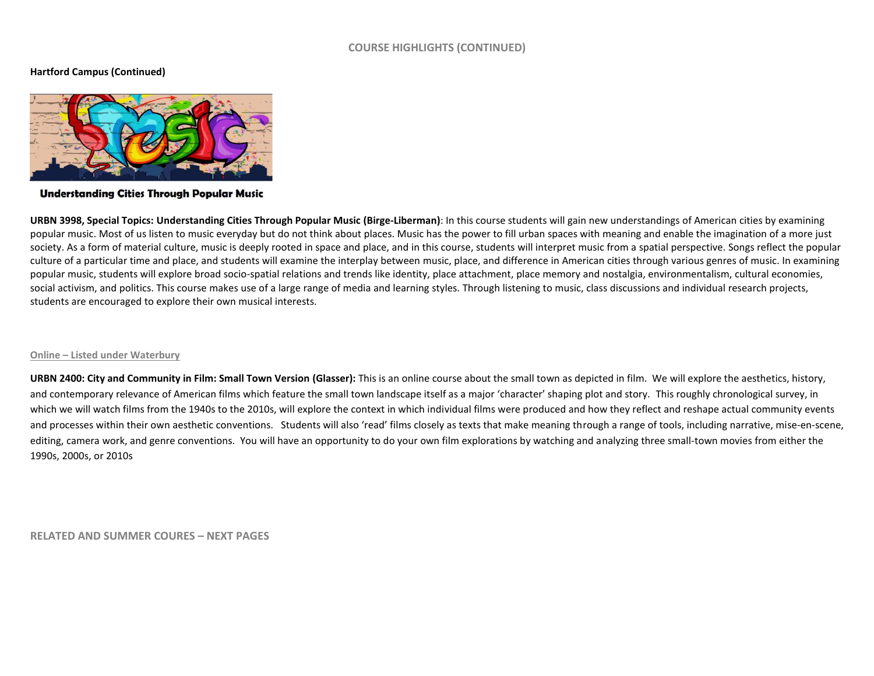#### **COURSE HIGHLIGHTS (CONTINUED)**

#### **Hartford Campus (Continued)**



**Understanding Cities Through Popular Music** 

**URBN 3998, Special Topics: Understanding Cities Through Popular Music (Birge-Liberman)**: In this course students will gain new understandings of American cities by examining popular music. Most of us listen to music everyday but do not think about places. Music has the power to fill urban spaces with meaning and enable the imagination of a more just society. As a form of material culture, music is deeply rooted in space and place, and in this course, students will interpret music from a spatial perspective. Songs reflect the popular culture of a particular time and place, and students will examine the interplay between music, place, and difference in American cities through various genres of music. In examining popular music, students will explore broad socio-spatial relations and trends like identity, place attachment, place memory and nostalgia, environmentalism, cultural economies, social activism, and politics. This course makes use of a large range of media and learning styles. Through listening to music, class discussions and individual research projects, students are encouraged to explore their own musical interests.

#### **Online – Listed under Waterbury**

**URBN 2400: City and Community in Film: Small Town Version (Glasser):** This is an online course about the small town as depicted in film. We will explore the aesthetics, history, and contemporary relevance of American films which feature the small town landscape itself as a major 'character' shaping plot and story. This roughly chronological survey, in which we will watch films from the 1940s to the 2010s, will explore the context in which individual films were produced and how they reflect and reshape actual community events and processes within their own aesthetic conventions. Students will also 'read' films closely as texts that make meaning through a range of tools, including narrative, mise-en-scene, editing, camera work, and genre conventions. You will have an opportunity to do your own film explorations by watching and analyzing three small-town movies from either the 1990s, 2000s, or 2010s

**RELATED AND SUMMER COURES – NEXT PAGES**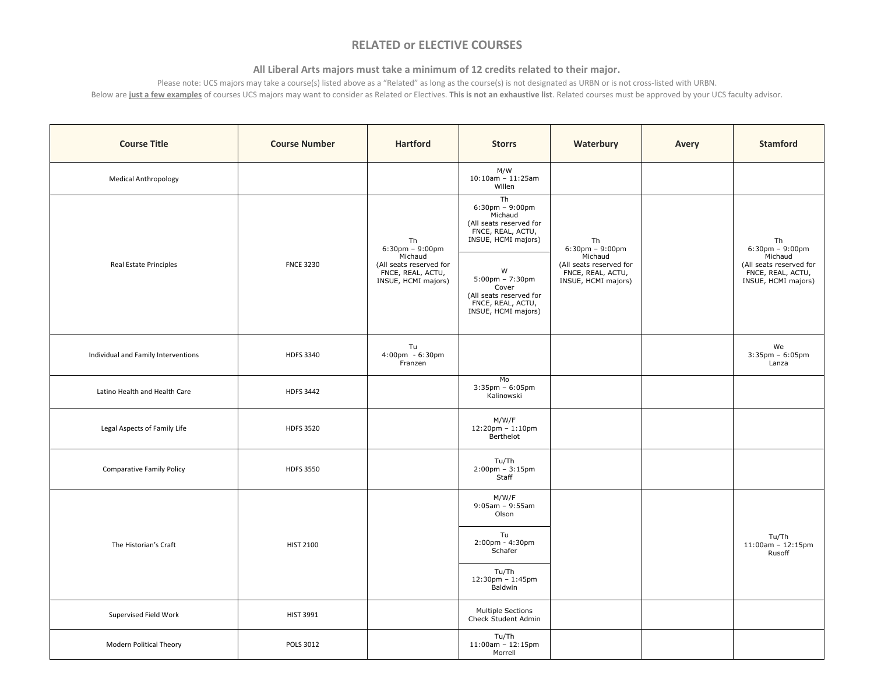# **RELATED or ELECTIVE COURSES**

## **All Liberal Arts majors must take a minimum of 12 credits related to their major.**

Please note: UCS majors may take a course(s) listed above as a "Related" as long as the course(s) is not designated as URBN or is not cross-listed with URBN. Below are **just a few examples** of courses UCS majors may want to consider as Related or Electives. **This is not an exhaustive list**. Related courses must be approved by your UCS faculty advisor.

| <b>Course Title</b>                 | <b>Course Number</b>        | <b>Hartford</b>                                                     | <b>Storrs</b>                                                                                                 | Waterbury                                                                                                     | Avery | <b>Stamford</b>                                                                |
|-------------------------------------|-----------------------------|---------------------------------------------------------------------|---------------------------------------------------------------------------------------------------------------|---------------------------------------------------------------------------------------------------------------|-------|--------------------------------------------------------------------------------|
| <b>Medical Anthropology</b>         |                             |                                                                     | M/W<br>$10:10$ am - $11:25$ am<br>Willen                                                                      |                                                                                                               |       |                                                                                |
|                                     |                             | Th<br>$6:30 \text{pm} - 9:00 \text{pm}$                             | Th<br>$6:30$ pm - $9:00$ pm<br>Michaud<br>(All seats reserved for<br>FNCE, REAL, ACTU,<br>INSUE, HCMI majors) | Th<br>$6:30$ pm - $9:00$ pm<br>Michaud<br>(All seats reserved for<br>FNCE, REAL, ACTU,<br>INSUE, HCMI majors) |       | Th<br>$6:30 \text{pm} - 9:00 \text{pm}$                                        |
| Real Estate Principles              | Michaud<br><b>FNCE 3230</b> | (All seats reserved for<br>FNCE, REAL, ACTU,<br>INSUE, HCMI majors) | W<br>$5:00$ pm - 7:30pm<br>Cover<br>(All seats reserved for<br>FNCE, REAL, ACTU,<br>INSUE, HCMI majors)       |                                                                                                               |       | Michaud<br>(All seats reserved for<br>FNCE, REAL, ACTU,<br>INSUE, HCMI majors) |
| Individual and Family Interventions | HDFS 3340                   | Tu<br>4:00pm - 6:30pm<br>Franzen                                    |                                                                                                               |                                                                                                               |       | We<br>$3:35$ pm - $6:05$ pm<br>Lanza                                           |
| Latino Health and Health Care       | <b>HDFS 3442</b>            |                                                                     | Mo<br>$3:35$ pm - $6:05$ pm<br>Kalinowski                                                                     |                                                                                                               |       |                                                                                |
| Legal Aspects of Family Life        | <b>HDFS 3520</b>            |                                                                     | M/W/F<br>$12:20$ pm - $1:10$ pm<br>Berthelot                                                                  |                                                                                                               |       |                                                                                |
| Comparative Family Policy           | <b>HDFS 3550</b>            |                                                                     | Tu/Th<br>$2:00$ pm - $3:15$ pm<br>Staff                                                                       |                                                                                                               |       |                                                                                |
|                                     |                             |                                                                     | M/W/F<br>$9:05am - 9:55am$<br>Olson                                                                           |                                                                                                               |       |                                                                                |
| The Historian's Craft               | <b>HIST 2100</b>            |                                                                     | Tu<br>$2:00$ pm - $4:30$ pm<br>Schafer                                                                        |                                                                                                               |       | Tu/Th<br>$11:00$ am - $12:15$ pm<br>Rusoff                                     |
|                                     |                             |                                                                     | Tu/Th<br>$12:30 \text{pm} - 1:45 \text{pm}$<br>Baldwin                                                        |                                                                                                               |       |                                                                                |
| Supervised Field Work               | <b>HIST 3991</b>            |                                                                     | Multiple Sections<br>Check Student Admin                                                                      |                                                                                                               |       |                                                                                |
| Modern Political Theory             | POLS 3012                   |                                                                     | Tu/Th<br>$11:00am - 12:15pm$<br>Morrell                                                                       |                                                                                                               |       |                                                                                |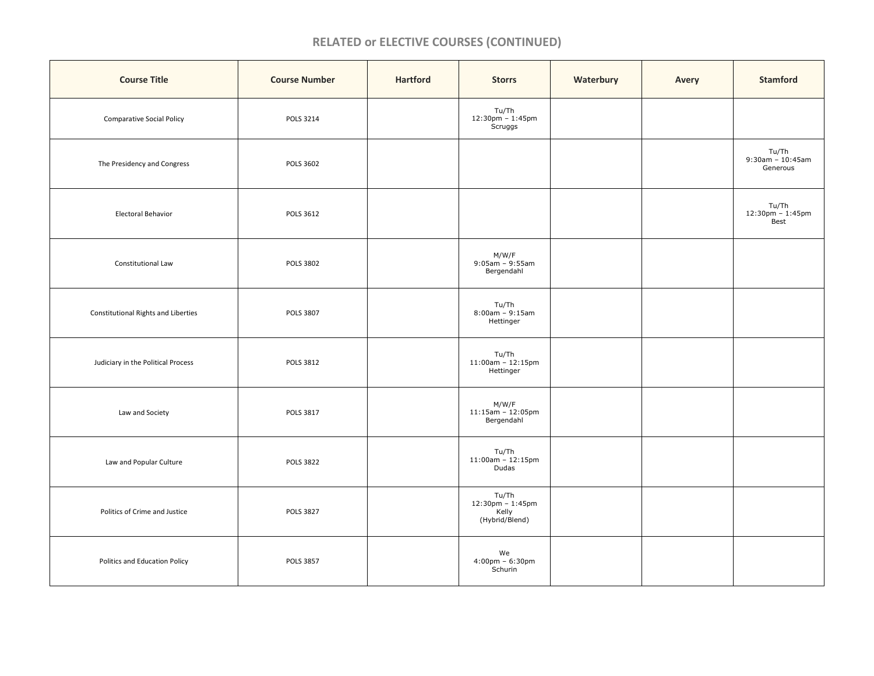# **RELATED or ELECTIVE COURSES (CONTINUED)**

| <b>Course Title</b>                 | <b>Course Number</b> | <b>Hartford</b> | <b>Storrs</b>                                        | Waterbury | Avery | <b>Stamford</b>                       |
|-------------------------------------|----------------------|-----------------|------------------------------------------------------|-----------|-------|---------------------------------------|
| <b>Comparative Social Policy</b>    | POLS 3214            |                 | Tu/Th<br>12:30pm – 1:45pm<br>Scruggs                 |           |       |                                       |
| The Presidency and Congress         | <b>POLS 3602</b>     |                 |                                                      |           |       | Tu/Th<br>9:30am - 10:45am<br>Generous |
| Electoral Behavior                  | <b>POLS 3612</b>     |                 |                                                      |           |       | Tu/Th<br>12:30pm – 1:45pm<br>Best     |
| Constitutional Law                  | <b>POLS 3802</b>     |                 | M/W/F<br>9:05am – 9:55am<br>Bergendahl               |           |       |                                       |
| Constitutional Rights and Liberties | <b>POLS 3807</b>     |                 | Tu/Th<br>$8:00am - 9:15am$<br>Hettinger              |           |       |                                       |
| Judiciary in the Political Process  | POLS 3812            |                 | Tu/Th<br>11:00am - 12:15pm<br>Hettinger              |           |       |                                       |
| Law and Society                     | POLS 3817            |                 | M/W/F<br>11:15am - 12:05pm<br>Bergendahl             |           |       |                                       |
| Law and Popular Culture             | <b>POLS 3822</b>     |                 | Tu/Th<br>11:00am - 12:15pm<br>Dudas                  |           |       |                                       |
| Politics of Crime and Justice       | <b>POLS 3827</b>     |                 | Tu/Th<br>12:30pm - 1:45pm<br>Kelly<br>(Hybrid/Blend) |           |       |                                       |
| Politics and Education Policy       | <b>POLS 3857</b>     |                 | We<br>$4:00 \text{pm} - 6:30 \text{pm}$<br>Schurin   |           |       |                                       |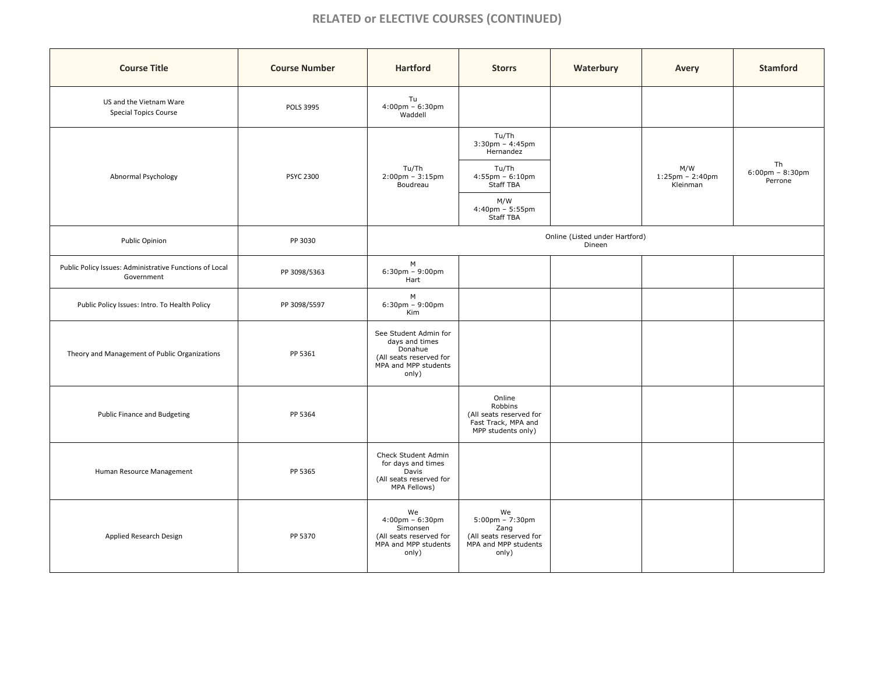# **RELATED or ELECTIVE COURSES (CONTINUED)**

| <b>Course Title</b>                                                   | <b>Course Number</b> | <b>Hartford</b>                                                                                                 | <b>Storrs</b>                                                                                               | Waterbury | Avery                                    | <b>Stamford</b>                                    |
|-----------------------------------------------------------------------|----------------------|-----------------------------------------------------------------------------------------------------------------|-------------------------------------------------------------------------------------------------------------|-----------|------------------------------------------|----------------------------------------------------|
| US and the Vietnam Ware<br><b>Special Topics Course</b>               | <b>POLS 3995</b>     | Tu<br>$4:00 \text{pm} - 6:30 \text{pm}$<br>Waddell                                                              |                                                                                                             |           |                                          |                                                    |
|                                                                       |                      |                                                                                                                 | Tu/Th<br>$3:30$ pm - $4:45$ pm<br>Hernandez                                                                 |           |                                          |                                                    |
| Abnormal Psychology                                                   | <b>PSYC 2300</b>     | Tu/Th<br>$2:00$ pm - $3:15$ pm<br>Boudreau                                                                      | Tu/Th<br>$4:55$ pm - $6:10$ pm<br>Staff TBA                                                                 |           | M/W<br>$1:25$ pm - $2:40$ pm<br>Kleinman | Th<br>$6:00 \text{pm} - 8:30 \text{pm}$<br>Perrone |
|                                                                       |                      |                                                                                                                 | M/W<br>$4:40$ pm - 5:55pm<br>Staff TBA                                                                      |           |                                          |                                                    |
| Public Opinion                                                        | PP 3030              | Online (Listed under Hartford)<br>Dineen                                                                        |                                                                                                             |           |                                          |                                                    |
| Public Policy Issues: Administrative Functions of Local<br>Government | PP 3098/5363         | M<br>$6:30$ pm - $9:00$ pm<br>Hart                                                                              |                                                                                                             |           |                                          |                                                    |
| Public Policy Issues: Intro. To Health Policy                         | PP 3098/5597         | М<br>$6:30$ pm - $9:00$ pm<br>Kim                                                                               |                                                                                                             |           |                                          |                                                    |
| Theory and Management of Public Organizations                         | PP 5361              | See Student Admin for<br>days and times<br>Donahue<br>(All seats reserved for<br>MPA and MPP students<br>only)  |                                                                                                             |           |                                          |                                                    |
| Public Finance and Budgeting                                          | PP 5364              |                                                                                                                 | Online<br>Robbins<br>(All seats reserved for<br>Fast Track, MPA and<br>MPP students only)                   |           |                                          |                                                    |
| Human Resource Management                                             | PP 5365              | Check Student Admin<br>for days and times<br>Davis<br>(All seats reserved for<br>MPA Fellows)                   |                                                                                                             |           |                                          |                                                    |
| Applied Research Design                                               | PP 5370              | We<br>$4:00 \text{pm} - 6:30 \text{pm}$<br>Simonsen<br>(All seats reserved for<br>MPA and MPP students<br>only) | We<br>$5:00 \text{pm} - 7:30 \text{pm}$<br>Zang<br>(All seats reserved for<br>MPA and MPP students<br>only) |           |                                          |                                                    |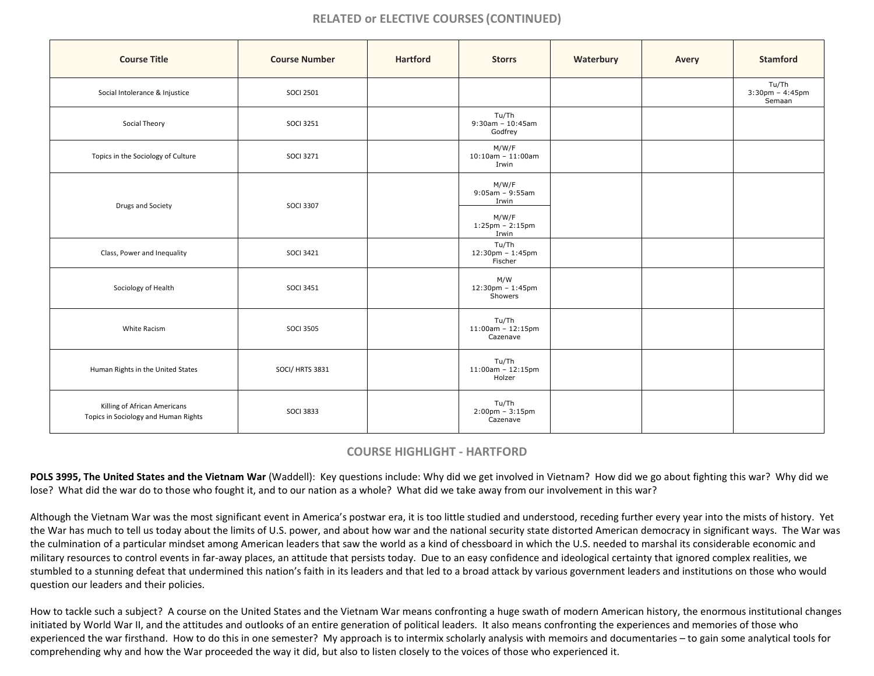# **RELATED or ELECTIVE COURSES (CONTINUED)**

| <b>Course Title</b>                                                  | <b>Course Number</b> | <b>Hartford</b> | <b>Storrs</b>                                                         | Waterbury | Avery | <b>Stamford</b>                                      |
|----------------------------------------------------------------------|----------------------|-----------------|-----------------------------------------------------------------------|-----------|-------|------------------------------------------------------|
| Social Intolerance & Injustice                                       | <b>SOCI 2501</b>     |                 |                                                                       |           |       | Tu/Th<br>$3:30 \text{pm} - 4:45 \text{pm}$<br>Semaan |
| Social Theory                                                        | <b>SOCI 3251</b>     |                 | Tu/Th<br>$9:30$ am - 10:45am<br>Godfrey                               |           |       |                                                      |
| Topics in the Sociology of Culture                                   | <b>SOCI 3271</b>     |                 | M/W/F<br>$10:10$ am - $11:00$ am<br>Irwin                             |           |       |                                                      |
| Drugs and Society                                                    | <b>SOCI 3307</b>     |                 | M/W/F<br>$9:05am - 9:55am$<br>Irwin<br>M/W/F<br>$1:25$ pm - $2:15$ pm |           |       |                                                      |
|                                                                      |                      |                 | Irwin                                                                 |           |       |                                                      |
| Class, Power and Inequality                                          | <b>SOCI 3421</b>     |                 | Tu/Th<br>12:30pm - 1:45pm<br>Fischer                                  |           |       |                                                      |
| Sociology of Health                                                  | <b>SOCI 3451</b>     |                 | M/W<br>12:30pm - 1:45pm<br>Showers                                    |           |       |                                                      |
| White Racism                                                         | <b>SOCI 3505</b>     |                 | Tu/Th<br>$11:00$ am - 12:15pm<br>Cazenave                             |           |       |                                                      |
| Human Rights in the United States                                    | SOCI/HRTS 3831       |                 | Tu/Th<br>$11:00$ am - $12:15$ pm<br>Holzer                            |           |       |                                                      |
| Killing of African Americans<br>Topics in Sociology and Human Rights | <b>SOCI 3833</b>     |                 | Tu/Th<br>$2:00 \text{pm} - 3:15 \text{pm}$<br>Cazenave                |           |       |                                                      |

# **COURSE HIGHLIGHT - HARTFORD**

POLS 3995, The United States and the Vietnam War (Waddell): Key questions include: Why did we get involved in Vietnam? How did we go about fighting this war? Why did we lose? What did the war do to those who fought it, and to our nation as a whole? What did we take away from our involvement in this war?

Although the Vietnam War was the most significant event in America's postwar era, it is too little studied and understood, receding further every year into the mists of history. Yet the War has much to tell us today about the limits of U.S. power, and about how war and the national security state distorted American democracy in significant ways. The War was the culmination of a particular mindset among American leaders that saw the world as a kind of chessboard in which the U.S. needed to marshal its considerable economic and military resources to control events in far-away places, an attitude that persists today. Due to an easy confidence and ideological certainty that ignored complex realities, we stumbled to a stunning defeat that undermined this nation's faith in its leaders and that led to a broad attack by various government leaders and institutions on those who would question our leaders and their policies.

How to tackle such a subject? A course on the United States and the Vietnam War means confronting a huge swath of modern American history, the enormous institutional changes initiated by World War II, and the attitudes and outlooks of an entire generation of political leaders. It also means confronting the experiences and memories of those who experienced the war firsthand. How to do this in one semester? My approach is to intermix scholarly analysis with memoirs and documentaries – to gain some analytical tools for comprehending why and how the War proceeded the way it did, but also to listen closely to the voices of those who experienced it.